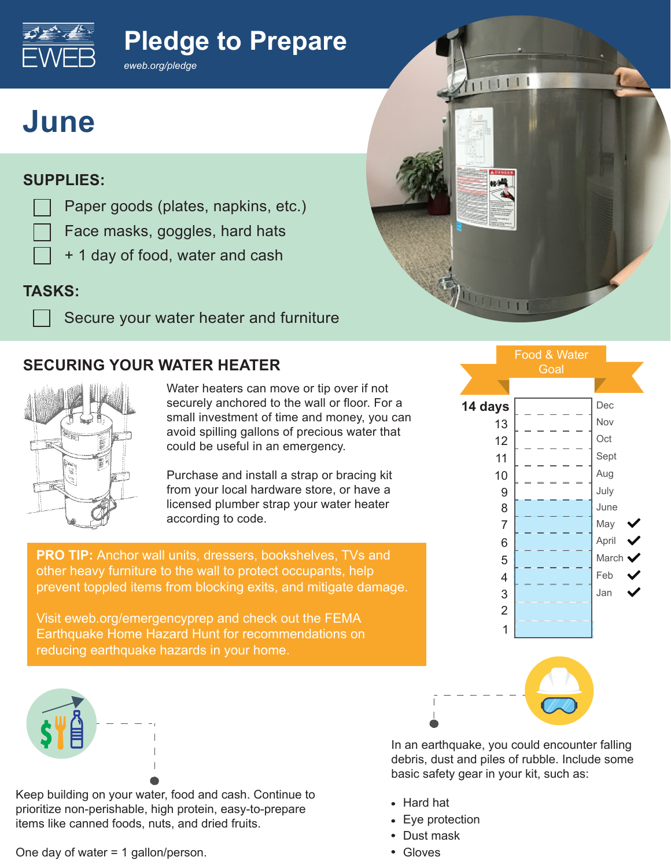# **Pledge to Prepare**



#### **SUPPLIES:**

Paper goods (plates, napkins, etc.)

*eweb.org/pledge*

- Face masks, goggles, hard hats
	- + 1 day of food, water and cash

### **TASKS:**

Secure your water heater and furniture

### **SECURING YOUR WATER HEATER**



Water heaters can move or tip over if not securely anchored to the wall or floor. For a small investment of time and money, you can avoid spilling gallons of precious water that could be useful in an emergency.

Purchase and install a strap or bracing kit from your local hardware store, or have a licensed plumber strap your water heater according to code.

**PRO TIP:** Anchor wall units, dressers, bookshelves, TVs and other heavy furniture to the wall to protect occupants, help prevent toppled items from blocking exits, and mitigate damage.

Visit eweb.org/emergencyprep and check out the FEMA Earthquake Home Hazard Hunt for recommendations on reducing earthquake hazards in your home.



Keep building on your water, food and cash. Continue to prioritize non-perishable, high protein, easy-to-prepare items like canned foods, nuts, and dried fruits.

One day of water = 1 gallon/person.



1111111

WOOTH

In an earthquake, you could encounter falling debris, dust and piles of rubble. Include some basic safety gear in your kit, such as:

- Hard hat
- Eye protection
- Dust mask
- Gloves